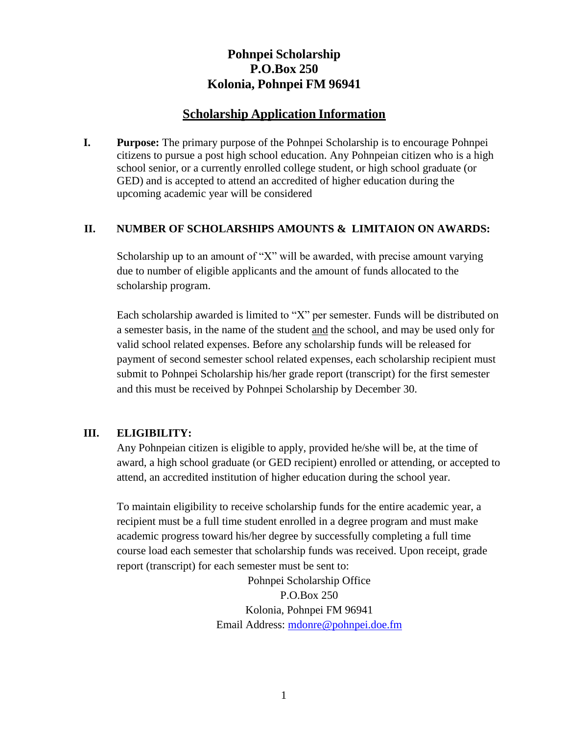# **Pohnpei Scholarship P.O.Box 250 Kolonia, Pohnpei FM 96941**

## **Scholarship Application Information**

**I. Purpose:** The primary purpose of the Pohnpei Scholarship is to encourage Pohnpei citizens to pursue a post high school education. Any Pohnpeian citizen who is a high school senior, or a currently enrolled college student, or high school graduate (or GED) and is accepted to attend an accredited of higher education during the upcoming academic year will be considered

#### **II. NUMBER OF SCHOLARSHIPS AMOUNTS & LIMITAION ON AWARDS:**

Scholarship up to an amount of "X" will be awarded, with precise amount varying due to number of eligible applicants and the amount of funds allocated to the scholarship program.

Each scholarship awarded is limited to "X" per semester. Funds will be distributed on a semester basis, in the name of the student and the school, and may be used only for valid school related expenses. Before any scholarship funds will be released for payment of second semester school related expenses, each scholarship recipient must submit to Pohnpei Scholarship his/her grade report (transcript) for the first semester and this must be received by Pohnpei Scholarship by December 30.

#### **III. ELIGIBILITY:**

Any Pohnpeian citizen is eligible to apply, provided he/she will be, at the time of award, a high school graduate (or GED recipient) enrolled or attending, or accepted to attend, an accredited institution of higher education during the school year.

To maintain eligibility to receive scholarship funds for the entire academic year, a recipient must be a full time student enrolled in a degree program and must make academic progress toward his/her degree by successfully completing a full time course load each semester that scholarship funds was received. Upon receipt, grade report (transcript) for each semester must be sent to:

> Pohnpei Scholarship Office P.O.Box 250 Kolonia, Pohnpei FM 96941 Email Address: [mdonre@pohnpei.doe.fm](mailto:mdonre@pohnpei.doe.fm)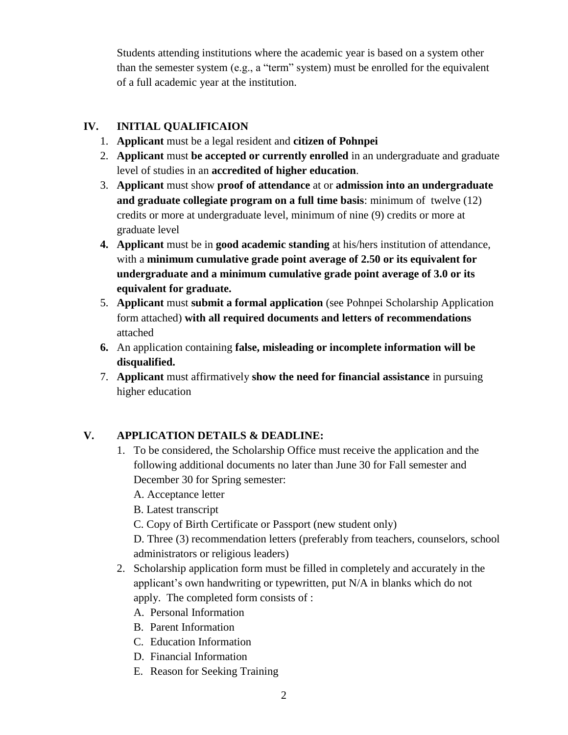Students attending institutions where the academic year is based on a system other than the semester system (e.g., a "term" system) must be enrolled for the equivalent of a full academic year at the institution.

## **IV. INITIAL QUALIFICAION**

- 1. **Applicant** must be a legal resident and **citizen of Pohnpei**
- 2. **Applicant** must **be accepted or currently enrolled** in an undergraduate and graduate level of studies in an **accredited of higher education**.
- 3. **Applicant** must show **proof of attendance** at or **admission into an undergraduate and graduate collegiate program on a full time basis**: minimum of twelve (12) credits or more at undergraduate level, minimum of nine (9) credits or more at graduate level
- **4. Applicant** must be in **good academic standing** at his/hers institution of attendance, with a **minimum cumulative grade point average of 2.50 or its equivalent for undergraduate and a minimum cumulative grade point average of 3.0 or its equivalent for graduate.**
- 5. **Applicant** must **submit a formal application** (see Pohnpei Scholarship Application form attached) **with all required documents and letters of recommendations** attached
- **6.** An application containing **false, misleading or incomplete information will be disqualified.**
- 7. **Applicant** must affirmatively **show the need for financial assistance** in pursuing higher education

## **V. APPLICATION DETAILS & DEADLINE:**

1. To be considered, the Scholarship Office must receive the application and the following additional documents no later than June 30 for Fall semester and December 30 for Spring semester:

A. Acceptance letter

B. Latest transcript

C. Copy of Birth Certificate or Passport (new student only)

D. Three (3) recommendation letters (preferably from teachers, counselors, school administrators or religious leaders)

- 2. Scholarship application form must be filled in completely and accurately in the applicant's own handwriting or typewritten, put N/A in blanks which do not apply. The completed form consists of :
	- A. Personal Information
	- B. Parent Information
	- C. Education Information
	- D. Financial Information
	- E. Reason for Seeking Training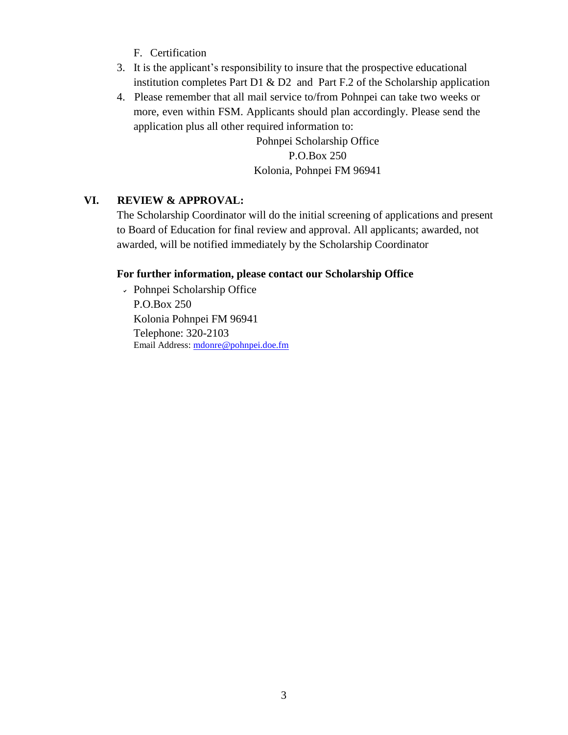- F. Certification
- 3. It is the applicant's responsibility to insure that the prospective educational institution completes Part D1  $\&$  D2 and Part F.2 of the Scholarship application
- 4. Please remember that all mail service to/from Pohnpei can take two weeks or more, even within FSM. Applicants should plan accordingly. Please send the application plus all other required information to:

Pohnpei Scholarship Office P.O.Box 250 Kolonia, Pohnpei FM 96941

#### **VI. REVIEW & APPROVAL:**

The Scholarship Coordinator will do the initial screening of applications and present to Board of Education for final review and approval. All applicants; awarded, not awarded, will be notified immediately by the Scholarship Coordinator

#### **For further information, please contact our Scholarship Office**

Pohnpei Scholarship Office P.O.Box 250 Kolonia Pohnpei FM 96941 Telephone: 320-2103 Email Address: [mdonre@pohnpei.doe.fm](mailto:mdonre@pohnpei.doe.fm)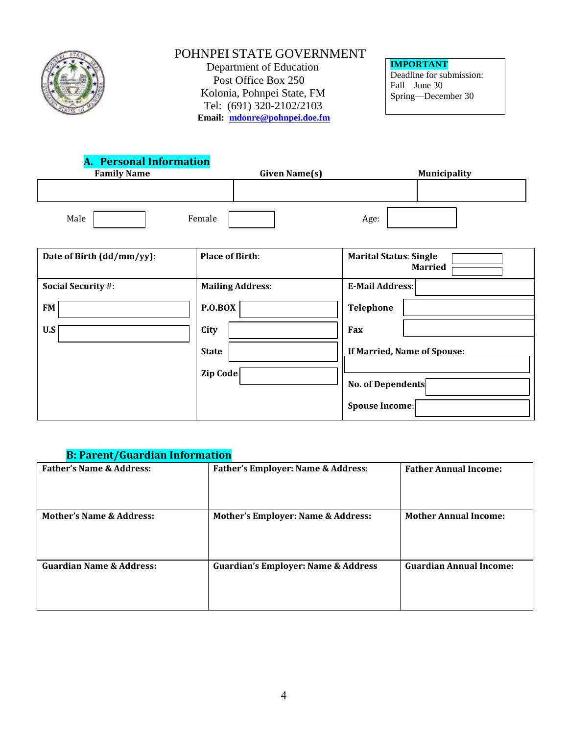

# POHNPEI STATE GOVERNMENT

Department of Education Post Office Box 250 Kolonia, Pohnpei State, FM Tel: (691) 320-2102/2103 **Email: [mdonre@pohnpei.doe.fm](mailto:mdonre@pohnpei.doe.fm)** **IMPORTANT** Deadline for submission: Fall—June 30 Spring—December 30

|                    |  | <b>A. Personal Information</b> |               |  |                     |  |  |
|--------------------|--|--------------------------------|---------------|--|---------------------|--|--|
| <b>Family Name</b> |  |                                | Given Name(s) |  | <b>Municipality</b> |  |  |
|                    |  |                                |               |  |                     |  |  |
| Male               |  | Female                         |               |  | Age:                |  |  |

 $\overline{a}$ 

| Date of Birth (dd/mm/yy): | <b>Place of Birth:</b>  | <b>Marital Status: Single</b><br><b>Married</b> |
|---------------------------|-------------------------|-------------------------------------------------|
| <b>Social Security #:</b> | <b>Mailing Address:</b> | <b>E-Mail Address:</b>                          |
| <b>FM</b>                 | P.O.BOX                 | Telephone                                       |
| U.S                       | City                    | Fax                                             |
|                           | <b>State</b>            | If Married, Name of Spouse:                     |
|                           | Zip Code                | <b>No. of Dependents</b>                        |
|                           |                         | Spouse Income:                                  |

## **B: Parent/Guardian Information**

| <b>Father's Name &amp; Address:</b> | <b>Father's Employer: Name &amp; Address:</b>  | <b>Father Annual Income:</b>   |
|-------------------------------------|------------------------------------------------|--------------------------------|
|                                     |                                                |                                |
| <b>Mother's Name &amp; Address:</b> | <b>Mother's Employer: Name &amp; Address:</b>  | <b>Mother Annual Income:</b>   |
| <b>Guardian Name &amp; Address:</b> | <b>Guardian's Employer: Name &amp; Address</b> | <b>Guardian Annual Income:</b> |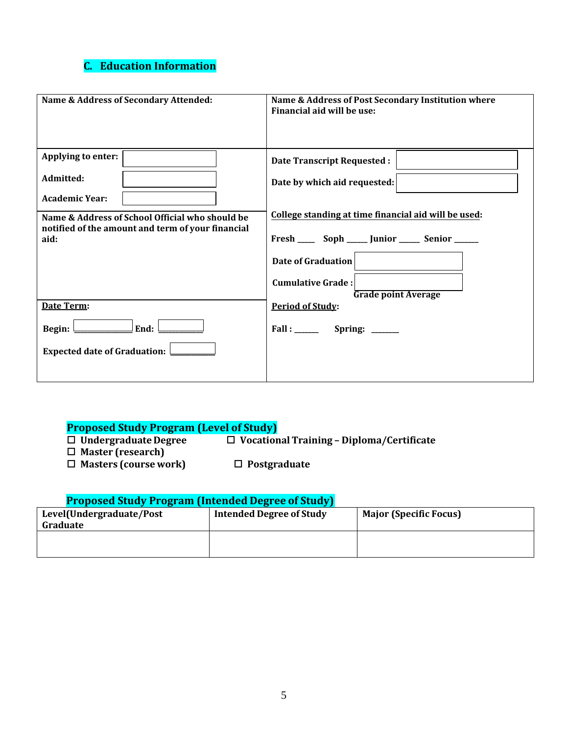## **C. Education Information**

| Name & Address of Secondary Attended:                                                                | Name & Address of Post Secondary Institution where<br>Financial aid will be use:                               |  |  |
|------------------------------------------------------------------------------------------------------|----------------------------------------------------------------------------------------------------------------|--|--|
| Applying to enter:                                                                                   | <b>Date Transcript Requested:</b>                                                                              |  |  |
| Admitted:<br><b>Academic Year:</b>                                                                   | Date by which aid requested:                                                                                   |  |  |
| Name & Address of School Official who should be<br>notified of the amount and term of your financial | College standing at time financial aid will be used:<br>Fresh _______ Soph ______ Junior _______ Senior ______ |  |  |
| aid:                                                                                                 | Date of Graduation                                                                                             |  |  |
|                                                                                                      | <b>Cumulative Grade:</b><br><b>Grade point Average</b>                                                         |  |  |
| Date Term:                                                                                           | <b>Period of Study:</b>                                                                                        |  |  |
| End:<br>Begin:                                                                                       | $Fall: ____________$ Spring: $__________$                                                                      |  |  |
| Expected date of Graduation:                                                                         |                                                                                                                |  |  |

- **Proposed Study Program (Level of Study) Undergraduate Degree Vocational Training – Diploma/Certificate**
- **Master (research)**
- **Masters (course work) Postgraduate**

## **Proposed Study Program (Intended Degree of Study)**

| Level(Undergraduate/Post<br>Graduate | Intended Degree of Study | <b>Major (Specific Focus)</b> |
|--------------------------------------|--------------------------|-------------------------------|
|                                      |                          |                               |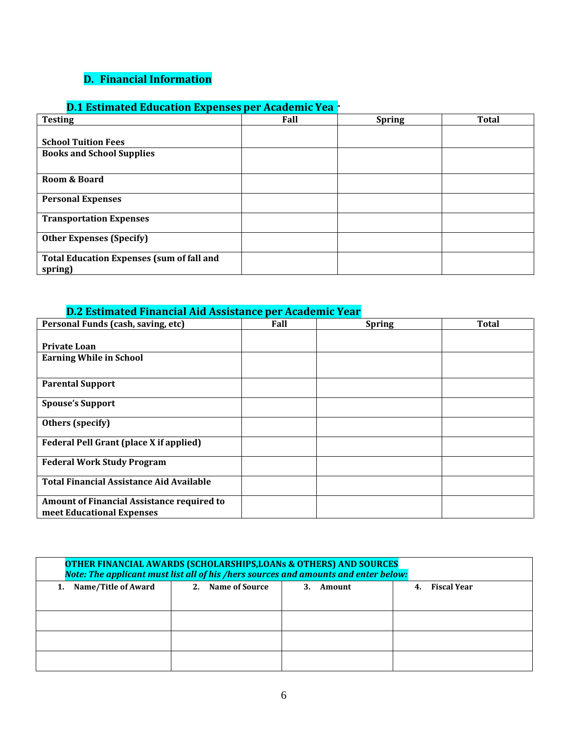# **D. Financial Information**

# **D.1 Estimated Education Expenses per Academic Yea<sup>-</sup>**

| <b>Testing</b>                                              | Fall | <b>Spring</b> | <b>Total</b> |
|-------------------------------------------------------------|------|---------------|--------------|
|                                                             |      |               |              |
| <b>School Tuition Fees</b>                                  |      |               |              |
| <b>Books and School Supplies</b>                            |      |               |              |
|                                                             |      |               |              |
| Room & Board                                                |      |               |              |
| <b>Personal Expenses</b>                                    |      |               |              |
| <b>Transportation Expenses</b>                              |      |               |              |
| <b>Other Expenses (Specify)</b>                             |      |               |              |
| <b>Total Education Expenses (sum of fall and</b><br>spring) |      |               |              |

## **D.2 Estimated Financial Aid Assistance per Academic Year**

| Personal Funds (cash, saving, etc)              | Fall | <b>Spring</b> | <b>Total</b> |
|-------------------------------------------------|------|---------------|--------------|
|                                                 |      |               |              |
| <b>Private Loan</b>                             |      |               |              |
| <b>Earning While in School</b>                  |      |               |              |
|                                                 |      |               |              |
| <b>Parental Support</b>                         |      |               |              |
|                                                 |      |               |              |
| <b>Spouse's Support</b>                         |      |               |              |
| Others (specify)                                |      |               |              |
|                                                 |      |               |              |
| <b>Federal Pell Grant (place X if applied)</b>  |      |               |              |
|                                                 |      |               |              |
| <b>Federal Work Study Program</b>               |      |               |              |
|                                                 |      |               |              |
| <b>Total Financial Assistance Aid Available</b> |      |               |              |
| Amount of Financial Assistance required to      |      |               |              |
|                                                 |      |               |              |
| meet Educational Expenses                       |      |               |              |

| <b>OTHER FINANCIAL AWARDS (SCHOLARSHIPS, LOANS &amp; OTHERS) AND SOURCES</b><br>Note: The applicant must list all of his /hers sources and amounts and enter below: |                                                     |  |  |  |  |  |
|---------------------------------------------------------------------------------------------------------------------------------------------------------------------|-----------------------------------------------------|--|--|--|--|--|
| 1. Name/Title of Award                                                                                                                                              | 2. Name of Source<br>4. Fiscal Year<br>Amount<br>3. |  |  |  |  |  |
|                                                                                                                                                                     |                                                     |  |  |  |  |  |
|                                                                                                                                                                     |                                                     |  |  |  |  |  |
|                                                                                                                                                                     |                                                     |  |  |  |  |  |
|                                                                                                                                                                     |                                                     |  |  |  |  |  |
|                                                                                                                                                                     |                                                     |  |  |  |  |  |
|                                                                                                                                                                     |                                                     |  |  |  |  |  |
|                                                                                                                                                                     |                                                     |  |  |  |  |  |
|                                                                                                                                                                     |                                                     |  |  |  |  |  |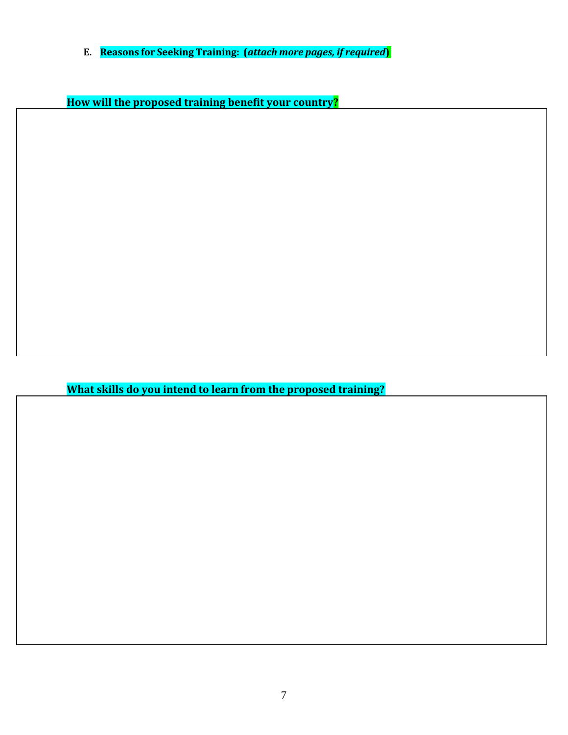**E. Reasons for Seeking Training: (***attach more pages, if required***)**

**How will the proposed training benefit your country?**

**What skills do you intend to learn from the proposed training?**